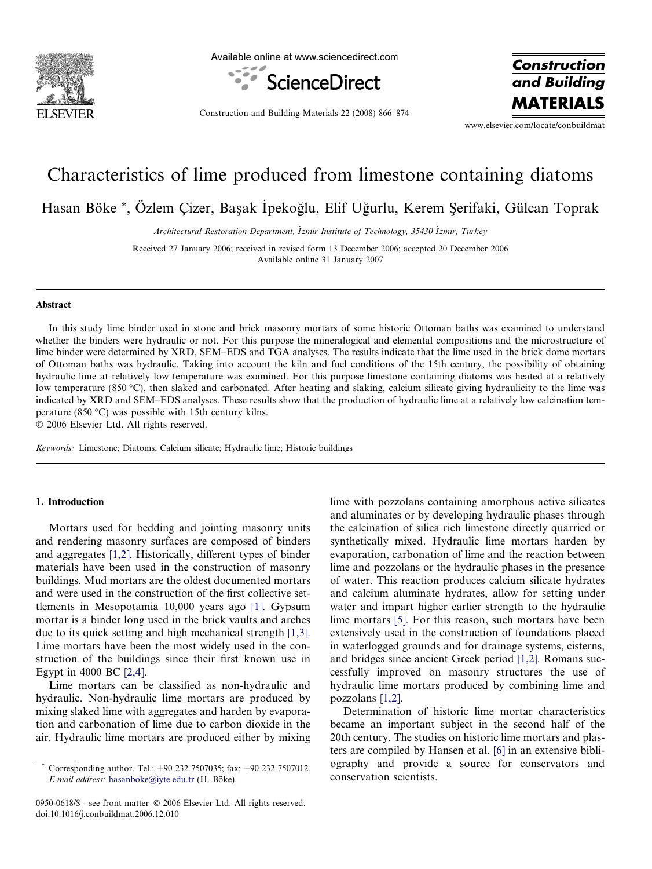

Available online at www.sciencedirect.com



Construction and Building Materials 22 (2008) 866–874

**Construction** and Building **MATERIA** 

www.elsevier.com/locate/conbuildmat

# Characteristics of lime produced from limestone containing diatoms

Hasan Böke \*, Özlem Çizer, Başak İpekoğlu, Elif Uğurlu, Kerem Şerifaki, Gülcan Toprak

Architectural Restoration Department, Izmir Institute of Technology, 35430 Izmir, Turkey

Received 27 January 2006; received in revised form 13 December 2006; accepted 20 December 2006 Available online 31 January 2007

#### Abstract

In this study lime binder used in stone and brick masonry mortars of some historic Ottoman baths was examined to understand whether the binders were hydraulic or not. For this purpose the mineralogical and elemental compositions and the microstructure of lime binder were determined by XRD, SEM–EDS and TGA analyses. The results indicate that the lime used in the brick dome mortars of Ottoman baths was hydraulic. Taking into account the kiln and fuel conditions of the 15th century, the possibility of obtaining hydraulic lime at relatively low temperature was examined. For this purpose limestone containing diatoms was heated at a relatively low temperature (850 °C), then slaked and carbonated. After heating and slaking, calcium silicate giving hydraulicity to the lime was indicated by XRD and SEM–EDS analyses. These results show that the production of hydraulic lime at a relatively low calcination temperature (850 °C) was possible with 15th century kilns.

2006 Elsevier Ltd. All rights reserved.

Keywords: Limestone; Diatoms; Calcium silicate; Hydraulic lime; Historic buildings

## 1. Introduction

Mortars used for bedding and jointing masonry units and rendering masonry surfaces are composed of binders and aggregates [\[1,2\]](#page--1-0). Historically, different types of binder materials have been used in the construction of masonry buildings. Mud mortars are the oldest documented mortars and were used in the construction of the first collective settlements in Mesopotamia 10,000 years ago [\[1\].](#page--1-0) Gypsum mortar is a binder long used in the brick vaults and arches due to its quick setting and high mechanical strength [\[1,3\]](#page--1-0). Lime mortars have been the most widely used in the construction of the buildings since their first known use in Egypt in 4000 BC [\[2,4\].](#page--1-0)

Lime mortars can be classified as non-hydraulic and hydraulic. Non-hydraulic lime mortars are produced by mixing slaked lime with aggregates and harden by evaporation and carbonation of lime due to carbon dioxide in the air. Hydraulic lime mortars are produced either by mixing

0950-0618/\$ - see front matter  $\odot$  2006 Elsevier Ltd. All rights reserved. doi:10.1016/j.conbuildmat.2006.12.010

lime with pozzolans containing amorphous active silicates and aluminates or by developing hydraulic phases through the calcination of silica rich limestone directly quarried or synthetically mixed. Hydraulic lime mortars harden by evaporation, carbonation of lime and the reaction between lime and pozzolans or the hydraulic phases in the presence of water. This reaction produces calcium silicate hydrates and calcium aluminate hydrates, allow for setting under water and impart higher earlier strength to the hydraulic lime mortars [\[5\].](#page--1-0) For this reason, such mortars have been extensively used in the construction of foundations placed in waterlogged grounds and for drainage systems, cisterns, and bridges since ancient Greek period [\[1,2\].](#page--1-0) Romans successfully improved on masonry structures the use of hydraulic lime mortars produced by combining lime and pozzolans [\[1,2\]](#page--1-0).

Determination of historic lime mortar characteristics became an important subject in the second half of the 20th century. The studies on historic lime mortars and plasters are compiled by Hansen et al. [\[6\]](#page--1-0) in an extensive bibliography and provide a source for conservators and conservation scientists.

Corresponding author. Tel.: +90 232 7507035; fax: +90 232 7507012. E-mail address: [hasanboke@iyte.edu.tr](mailto:hasanboke@iyte.edu.tr) (H. Böke).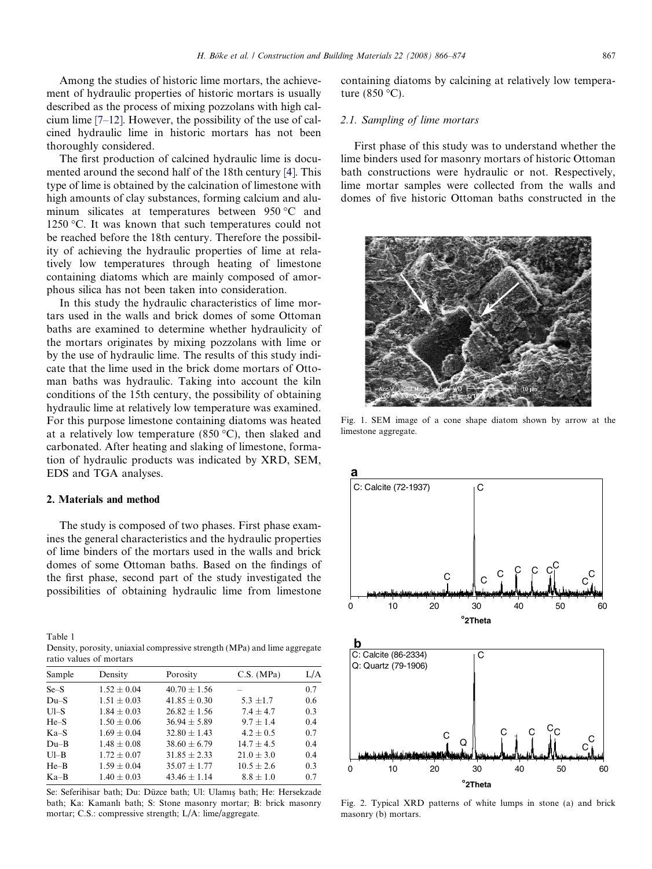Among the studies of historic lime mortars, the achievement of hydraulic properties of historic mortars is usually described as the process of mixing pozzolans with high calcium lime [\[7–12\].](#page--1-0) However, the possibility of the use of calcined hydraulic lime in historic mortars has not been thoroughly considered.

The first production of calcined hydraulic lime is documented around the second half of the 18th century [\[4\].](#page--1-0) This type of lime is obtained by the calcination of limestone with high amounts of clay substances, forming calcium and aluminum silicates at temperatures between  $950 °C$  and 1250 °C. It was known that such temperatures could not be reached before the 18th century. Therefore the possibility of achieving the hydraulic properties of lime at relatively low temperatures through heating of limestone containing diatoms which are mainly composed of amorphous silica has not been taken into consideration.

In this study the hydraulic characteristics of lime mortars used in the walls and brick domes of some Ottoman baths are examined to determine whether hydraulicity of the mortars originates by mixing pozzolans with lime or by the use of hydraulic lime. The results of this study indicate that the lime used in the brick dome mortars of Ottoman baths was hydraulic. Taking into account the kiln conditions of the 15th century, the possibility of obtaining hydraulic lime at relatively low temperature was examined. For this purpose limestone containing diatoms was heated at a relatively low temperature (850  $^{\circ}$ C), then slaked and carbonated. After heating and slaking of limestone, formation of hydraulic products was indicated by XRD, SEM, EDS and TGA analyses.

#### 2. Materials and method

The study is composed of two phases. First phase examines the general characteristics and the hydraulic properties of lime binders of the mortars used in the walls and brick domes of some Ottoman baths. Based on the findings of the first phase, second part of the study investigated the possibilities of obtaining hydraulic lime from limestone

| Table 1                                                                   |
|---------------------------------------------------------------------------|
| Density, porosity, uniaxial compressive strength (MPa) and lime aggregate |
| ratio values of mortars                                                   |

| Sample   | Density         | Porosity         | C.S. (MPa)     | L/A |
|----------|-----------------|------------------|----------------|-----|
| $Se-S$   | $1.52 \pm 0.04$ | $40.70 \pm 1.56$ |                | 0.7 |
| $Du-S$   | $1.51 + 0.03$   | $41.85 + 0.30$   | $5.3 \pm 1.7$  | 0.6 |
| $Ul-S$   | $1.84 + 0.03$   | $26.82 \pm 1.56$ | $7.4 + 4.7$    | 0.3 |
| $He-S$   | $1.50 + 0.06$   | $36.94 + 5.89$   | $9.7 + 1.4$    | 0.4 |
| $Ka-S$   | $1.69 + 0.04$   | $32.80 + 1.43$   | $4.2 + 0.5$    | 0.7 |
| $Du-B$   | $1.48 + 0.08$   | $38.60 \pm 6.79$ | $14.7 + 4.5$   | 0.4 |
| $UI - B$ | $1.72 + 0.07$   | $31.85 + 2.33$   | $21.0 + 3.0$   | 0.4 |
| $He-B$   | $1.59 + 0.04$   | $35.07 + 1.77$   | $10.5 \pm 2.6$ | 0.3 |
| $Ka-B$   | $1.40 + 0.03$   | $43.46 + 1.14$   | $8.8 + 1.0$    | 0.7 |
|          |                 |                  |                |     |

Se: Seferihisar bath; Du: Düzce bath; Ul: Ulamış bath; He: Hersekzade bath; Ka: Kamanlı bath; S: Stone masonry mortar; B: brick masonry mortar; C.S.: compressive strength; L/A: lime/aggregate.

containing diatoms by calcining at relatively low temperature  $(850 °C)$ .

### 2.1. Sampling of lime mortars

First phase of this study was to understand whether the lime binders used for masonry mortars of historic Ottoman bath constructions were hydraulic or not. Respectively, lime mortar samples were collected from the walls and domes of five historic Ottoman baths constructed in the



Fig. 1. SEM image of a cone shape diatom shown by arrow at the limestone aggregate.



Fig. 2. Typical XRD patterns of white lumps in stone (a) and brick masonry (b) mortars.